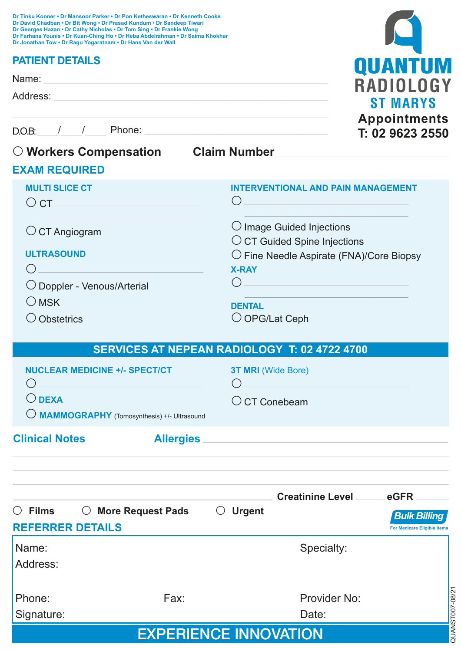| Dr Tinku Kooner • Dr Mansoor Parker • Dr Pon Ketheswaran • Dr Kenneth Cooke<br>Dr David Chadban • Dr Bit Wong • Dr Prasad Kundum • Dr Sandeep Tiwari<br>Dr Georges Hazan . Dr Cathy Nicholas . Dr Tom Sing . Dr Frankie Wong<br>Dr Farhana Younis • Dr Kuan-Ching Ho • Dr Heba Abdelrahman • Dr Saima Khokhar<br>Dr Jonathan Tow . Dr Ragu Yogaratnam . Dr Hans Van der Wall |                                                                            |
|------------------------------------------------------------------------------------------------------------------------------------------------------------------------------------------------------------------------------------------------------------------------------------------------------------------------------------------------------------------------------|----------------------------------------------------------------------------|
| <b>PATIENT DETAILS</b>                                                                                                                                                                                                                                                                                                                                                       | QUANTUM                                                                    |
| Name: Name: Name: Name: Name: Name: Name: Name: Name: Name: Name: Name: Name: Name: Name: Name: Name: Name: Name: Name: Name: Name: Name: Name: Name: Name: Name: Name: Name: Name: Name: Name: Name: Name: Name: Name: Name:                                                                                                                                                | RADIOLOGY                                                                  |
| Address:                                                                                                                                                                                                                                                                                                                                                                     | <b>ST MARYS</b>                                                            |
|                                                                                                                                                                                                                                                                                                                                                                              | <b>Appointments</b><br>T: 02 9623 2550                                     |
| $\bigcirc$ Workers Compensation Claim Number                                                                                                                                                                                                                                                                                                                                 |                                                                            |
| <b>EXAM REQUIRED</b>                                                                                                                                                                                                                                                                                                                                                         |                                                                            |
| <b>MULTI SLICE CT</b><br>$\circ$ CT $\_\_$                                                                                                                                                                                                                                                                                                                                   | <b>INTERVENTIONAL AND PAIN MANAGEMENT</b><br>$\left( \right)$              |
| $\circ$ CT Angiogram                                                                                                                                                                                                                                                                                                                                                         | $\bigcirc$ Image Guided Injections<br>$\circ$ CT Guided Spine Injections   |
| <b>ULTRASOUND</b>                                                                                                                                                                                                                                                                                                                                                            | $\bigcirc$ Fine Needle Aspirate (FNA)/Core Biopsy<br><b>X-RAY</b>          |
| O Doppler - Venous/Arterial                                                                                                                                                                                                                                                                                                                                                  | ( )                                                                        |
| $O$ MSK                                                                                                                                                                                                                                                                                                                                                                      | <b>DENTAL</b>                                                              |
| O Obstetrics                                                                                                                                                                                                                                                                                                                                                                 | $\bigcirc$ OPG/Lat Ceph                                                    |
|                                                                                                                                                                                                                                                                                                                                                                              | SERVICES AT NEPEAN RADIOLOGY T: 02 4722 4700                               |
| <b>NUCLEAR MEDICINE +/- SPECT/CT</b>                                                                                                                                                                                                                                                                                                                                         | 3T MRI (Wide Bore)                                                         |
| $\bigcirc$ dexa<br>MAMMOGRAPHY (Tomosynthesis) +/- Ultrasound                                                                                                                                                                                                                                                                                                                | $\bigcirc$ CT Conebeam                                                     |
| <b>Clinical Notes</b><br>Allergies                                                                                                                                                                                                                                                                                                                                           |                                                                            |
|                                                                                                                                                                                                                                                                                                                                                                              |                                                                            |
|                                                                                                                                                                                                                                                                                                                                                                              | Creatinine Level eGFR                                                      |
| $\circ$ Films<br>○ More Request Pads<br><b>REFERRER DETAILS</b>                                                                                                                                                                                                                                                                                                              | <b>Urgent</b><br><b>Bulk Billing</b><br><b>For Medicare Eligible Items</b> |
| Name:                                                                                                                                                                                                                                                                                                                                                                        | Specialty:                                                                 |
| Address:                                                                                                                                                                                                                                                                                                                                                                     |                                                                            |
| Phone:<br>Fax:                                                                                                                                                                                                                                                                                                                                                               | Provider No:                                                               |
| Signature:                                                                                                                                                                                                                                                                                                                                                                   | Date:                                                                      |
|                                                                                                                                                                                                                                                                                                                                                                              | QUANST007-08/2<br><b>EXPERIENCE INNOVATION</b>                             |

|  | <b>EXPERIENCE INNOVATION</b> |  |  |  |  |  |  |
|--|------------------------------|--|--|--|--|--|--|
|--|------------------------------|--|--|--|--|--|--|